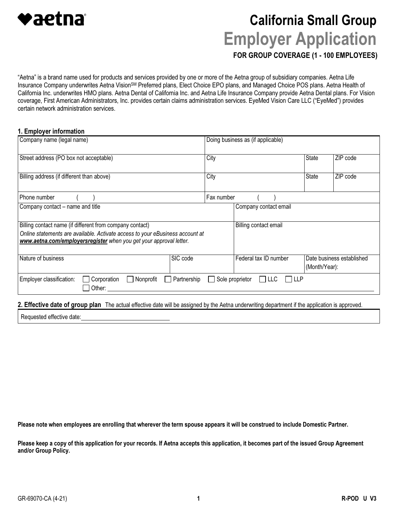

# California Small Group Employer Application

FOR GROUP COVERAGE (1 - 100 EMPLOYEES)

"Aetna" is a brand name used for products and services provided by one or more of the Aetna group of subsidiary companies. Aetna Life Insurance Company underwrites Aetna Vision<sup>SM</sup> Preferred plans, Elect Choice EPO plans, and Managed Choice POS plans. Aetna Health of California Inc. underwrites HMO plans. Aetna Dental of California Inc. and Aetna Life Insurance Company provide Aetna Dental plans. For Vision coverage, First American Administrators, Inc. provides certain claims administration services. EyeMed Vision Care LLC ("EyeMed") provides certain network administration services.

#### 1. Employer information

| Company name (legal name)                                                                                                                                                                                       | Doing business as (if applicable) |                                            |  |  |
|-----------------------------------------------------------------------------------------------------------------------------------------------------------------------------------------------------------------|-----------------------------------|--------------------------------------------|--|--|
| Street address (PO box not acceptable)                                                                                                                                                                          | City                              | State<br>ZIP code                          |  |  |
| Billing address (if different than above)                                                                                                                                                                       | City                              | State<br>ZIP code                          |  |  |
| Phone number                                                                                                                                                                                                    | Fax number                        |                                            |  |  |
| Company contact - name and title                                                                                                                                                                                | Company contact email             |                                            |  |  |
| Billing contact name (if different from company contact)<br>Online statements are available. Activate access to your eBusiness account at<br>www.aetna.com/employersregister when you get your approval letter. | Billing contact email             |                                            |  |  |
| Nature of business<br>SIC code                                                                                                                                                                                  | Federal tax ID number             | Date business established<br>(Month/Year): |  |  |
| Employer classification:<br>Corporation<br>Nonprofit<br>Partnership<br>$\blacksquare$<br>Other:                                                                                                                 | Sole proprietor<br>$\Box$ LLC     | <b>LLP</b>                                 |  |  |

2. Effective date of group plan The actual effective date will be assigned by the Aetna underwriting department if the application is approved.

Requested effective date:

Please note when employees are enrolling that wherever the term spouse appears it will be construed to include Domestic Partner.

Please keep a copy of this application for your records. If Aetna accepts this application, it becomes part of the issued Group Agreement<br>and/or Group Policy.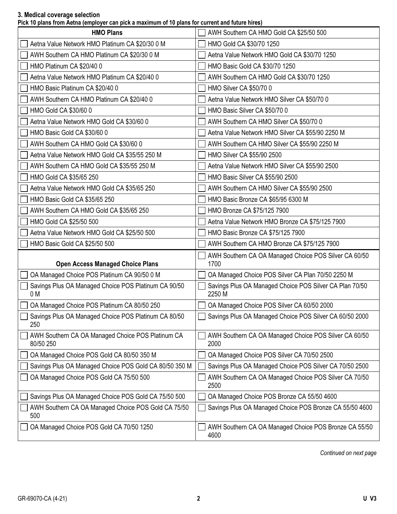#### 3. Medical coverage selection

Pick 10 plans from Aetna (employer can pick a maximum of 10 plans for current and future hires)

| $\cdots$ . The process complete the same process complete the set of $\alpha$ is process to construct the same constant $\alpha$ |                                                                   |
|----------------------------------------------------------------------------------------------------------------------------------|-------------------------------------------------------------------|
| <b>HMO Plans</b>                                                                                                                 | AWH Southern CA HMO Gold CA \$25/50 500                           |
| Aetna Value Network HMO Platinum CA \$20/30 0 M                                                                                  | HMO Gold CA \$30/70 1250                                          |
| AWH Southern CA HMO Platinum CA \$20/30 0 M                                                                                      | Aetna Value Network HMO Gold CA \$30/70 1250                      |
| HMO Platinum CA \$20/40 0                                                                                                        | HMO Basic Gold CA \$30/70 1250                                    |
| Aetna Value Network HMO Platinum CA \$20/40 0                                                                                    | AWH Southern CA HMO Gold CA \$30/70 1250                          |
| HMO Basic Platinum CA \$20/40 0                                                                                                  | HMO Silver CA \$50/70 0                                           |
| AWH Southern CA HMO Platinum CA \$20/40 0                                                                                        | Aetna Value Network HMO Silver CA \$50/70 0                       |
| HMO Gold CA \$30/60 0                                                                                                            | HMO Basic Silver CA \$50/70 0                                     |
| Aetna Value Network HMO Gold CA \$30/60 0                                                                                        | AWH Southern CA HMO Silver CA \$50/70 0                           |
| HMO Basic Gold CA \$30/60 0                                                                                                      | Aetna Value Network HMO Silver CA \$55/90 2250 M                  |
| AWH Southern CA HMO Gold CA \$30/60 0                                                                                            | AWH Southern CA HMO Silver CA \$55/90 2250 M                      |
| Aetna Value Network HMO Gold CA \$35/55 250 M                                                                                    | HMO Silver CA \$55/90 2500                                        |
| AWH Southern CA HMO Gold CA \$35/55 250 M                                                                                        | Aetna Value Network HMO Silver CA \$55/90 2500                    |
| HMO Gold CA \$35/65 250                                                                                                          | HMO Basic Silver CA \$55/90 2500                                  |
| Aetna Value Network HMO Gold CA \$35/65 250                                                                                      | AWH Southern CA HMO Silver CA \$55/90 2500                        |
| HMO Basic Gold CA \$35/65 250                                                                                                    | HMO Basic Bronze CA \$65/95 6300 M                                |
| AWH Southern CA HMO Gold CA \$35/65 250                                                                                          | HMO Bronze CA \$75/125 7900                                       |
| HMO Gold CA \$25/50 500                                                                                                          | Aetna Value Network HMO Bronze CA \$75/125 7900                   |
| Aetna Value Network HMO Gold CA \$25/50 500                                                                                      | HMO Basic Bronze CA \$75/125 7900                                 |
| HMO Basic Gold CA \$25/50 500                                                                                                    | AWH Southern CA HMO Bronze CA \$75/125 7900                       |
| <b>Open Access Managed Choice Plans</b>                                                                                          | AWH Southern CA OA Managed Choice POS Silver CA 60/50<br>1700     |
| OA Managed Choice POS Platinum CA 90/50 0 M                                                                                      | OA Managed Choice POS Silver CA Plan 70/50 2250 M                 |
|                                                                                                                                  |                                                                   |
| Savings Plus OA Managed Choice POS Platinum CA 90/50<br>0 M                                                                      | Savings Plus OA Managed Choice POS Silver CA Plan 70/50<br>2250 M |
| OA Managed Choice POS Platinum CA 80/50 250                                                                                      | OA Managed Choice POS Silver CA 60/50 2000                        |
| Savings Plus OA Managed Choice POS Platinum CA 80/50<br>250                                                                      | Savings Plus OA Managed Choice POS Silver CA 60/50 2000           |
| AWH Southern CA OA Managed Choice POS Platinum CA<br>80/50 250                                                                   | AWH Southern CA OA Managed Choice POS Silver CA 60/50<br>2000     |
| OA Managed Choice POS Gold CA 80/50 350 M                                                                                        | OA Managed Choice POS Silver CA 70/50 2500                        |
| Savings Plus OA Managed Choice POS Gold CA 80/50 350 M                                                                           | Savings Plus OA Managed Choice POS Silver CA 70/50 2500           |
| OA Managed Choice POS Gold CA 75/50 500                                                                                          | AWH Southern CA OA Managed Choice POS Silver CA 70/50<br>2500     |
| Savings Plus OA Managed Choice POS Gold CA 75/50 500                                                                             | OA Managed Choice POS Bronze CA 55/50 4600                        |
| AWH Southern CA OA Managed Choice POS Gold CA 75/50<br>500                                                                       | Savings Plus OA Managed Choice POS Bronze CA 55/50 4600           |
| OA Managed Choice POS Gold CA 70/50 1250                                                                                         | AWH Southern CA OA Managed Choice POS Bronze CA 55/50<br>4600     |

Continued on next page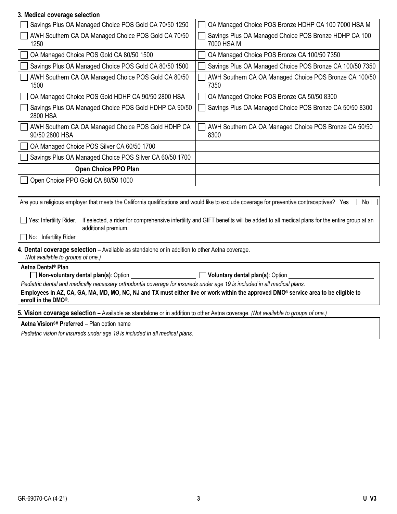#### 3. Medical coverage selection

| OA Managed Choice POS Bronze HDHP CA 100 7000 HSA M                 |
|---------------------------------------------------------------------|
| Savings Plus OA Managed Choice POS Bronze HDHP CA 100<br>7000 HSA M |
| OA Managed Choice POS Bronze CA 100/50 7350                         |
| Savings Plus OA Managed Choice POS Bronze CA 100/50 7350            |
| AWH Southern CA OA Managed Choice POS Bronze CA 100/50<br>7350      |
| OA Managed Choice POS Bronze CA 50/50 8300                          |
| Savings Plus OA Managed Choice POS Bronze CA 50/50 8300             |
| AWH Southern CA OA Managed Choice POS Bronze CA 50/50<br>8300       |
|                                                                     |
|                                                                     |
|                                                                     |
|                                                                     |
|                                                                     |

Are you a religious employer that meets the California qualifications and would like to exclude coverage for preventive contraceptives? Yes  $\Box$  No  $\Box$ □ Yes: Infertility Rider. If selected, a rider for comprehensive infertility and GIFT benefits will be added to all medical plans for the entire group at an additional premium. No: Infertility Rider

# 4. Dental coverage selection - Available as standalone or in addition to other Aetna coverage.

(Not available to groups of one.)

Aetna Dental® Plan

Non-voluntary dental plan(s): Option <u>Cameran Voluntary dental plan(s</u>): Option Voluntary dental plan(s): Option

Pediatric dental and medically necessary orthodontia coverage for insureds under age 19 is included in all medical plans.

Employees in AZ, CA, GA, MA, MD, MO, NC, NJ and TX must either live or work within the approved DMO® service area to be eligible to enroll in the DMO®.

5. Vision coverage selection - Available as standalone or in addition to other Aetna coverage. (Not available to groups of one.)

Aetna Vision<sup>sM</sup> Preferred – Plan option name

Pediatric vision for insureds under age 19 is included in all medical plans.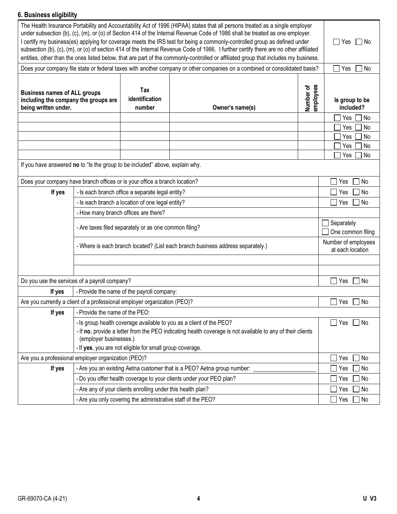## 6. Business eligibility

| ง. มนจแเธออ <del>บ</del> แพเมแเ                                                                     |                                |                                                              |                                                                                                                                                                                                                                                                                                                                                                                                                                                                                                                                                                                                                                                                           |                        |                                         |
|-----------------------------------------------------------------------------------------------------|--------------------------------|--------------------------------------------------------------|---------------------------------------------------------------------------------------------------------------------------------------------------------------------------------------------------------------------------------------------------------------------------------------------------------------------------------------------------------------------------------------------------------------------------------------------------------------------------------------------------------------------------------------------------------------------------------------------------------------------------------------------------------------------------|------------------------|-----------------------------------------|
|                                                                                                     |                                |                                                              | The Health Insurance Portability and Accountability Act of 1996 (HIPAA) states that all persons treated as a single employer<br>under subsection (b), (c), (m), or (o) of Section 414 of the Internal Revenue Code of 1986 shall be treated as one employer.<br>I certify my business(es) applying for coverage meets the IRS test for being a commonly-controlled group as defined under<br>subsection (b), (c), (m), or (o) of section 414 of the Internal Revenue Code of 1986. I further certify there are no other affiliated<br>entities, other than the ones listed below, that are part of the commonly-controlled or affiliated group that includes my business. |                        | l No<br>Yes                             |
|                                                                                                     |                                |                                                              | Does your company file state or federal taxes with another company or other companies on a combined or consolidated basis?                                                                                                                                                                                                                                                                                                                                                                                                                                                                                                                                                |                        | Yes<br>No                               |
| <b>Business names of ALL groups</b><br>including the company the groups are<br>being written under. |                                | Tax<br>identification<br>number                              | Owner's name(s)                                                                                                                                                                                                                                                                                                                                                                                                                                                                                                                                                                                                                                                           | employees<br>Number of | Is group to be<br>included?             |
|                                                                                                     |                                |                                                              |                                                                                                                                                                                                                                                                                                                                                                                                                                                                                                                                                                                                                                                                           |                        | Yes<br>No                               |
|                                                                                                     |                                |                                                              |                                                                                                                                                                                                                                                                                                                                                                                                                                                                                                                                                                                                                                                                           |                        | <b>No</b><br>Yes                        |
|                                                                                                     |                                |                                                              |                                                                                                                                                                                                                                                                                                                                                                                                                                                                                                                                                                                                                                                                           |                        | <b>No</b><br>Yes                        |
|                                                                                                     |                                |                                                              |                                                                                                                                                                                                                                                                                                                                                                                                                                                                                                                                                                                                                                                                           |                        | <b>No</b><br>Yes                        |
| If you have answered no to "Is the group to be included" above, explain why.                        |                                |                                                              |                                                                                                                                                                                                                                                                                                                                                                                                                                                                                                                                                                                                                                                                           |                        | No<br>Yes                               |
|                                                                                                     |                                |                                                              |                                                                                                                                                                                                                                                                                                                                                                                                                                                                                                                                                                                                                                                                           |                        |                                         |
| Does your company have branch offices or is your office a branch location?                          |                                |                                                              |                                                                                                                                                                                                                                                                                                                                                                                                                                                                                                                                                                                                                                                                           |                        | Yes<br>No                               |
| If yes                                                                                              |                                | - Is each branch office a separate legal entity?             |                                                                                                                                                                                                                                                                                                                                                                                                                                                                                                                                                                                                                                                                           |                        | No<br>Yes                               |
|                                                                                                     |                                | - Is each branch a location of one legal entity?             |                                                                                                                                                                                                                                                                                                                                                                                                                                                                                                                                                                                                                                                                           |                        | Yes<br>l No                             |
|                                                                                                     |                                | - How many branch offices are there?                         |                                                                                                                                                                                                                                                                                                                                                                                                                                                                                                                                                                                                                                                                           |                        |                                         |
|                                                                                                     |                                | Separately<br>One common filing                              |                                                                                                                                                                                                                                                                                                                                                                                                                                                                                                                                                                                                                                                                           |                        |                                         |
|                                                                                                     |                                |                                                              | - Where is each branch located? (List each branch business address separately.)                                                                                                                                                                                                                                                                                                                                                                                                                                                                                                                                                                                           |                        | Number of employees<br>at each location |
|                                                                                                     |                                |                                                              |                                                                                                                                                                                                                                                                                                                                                                                                                                                                                                                                                                                                                                                                           |                        |                                         |
|                                                                                                     |                                |                                                              |                                                                                                                                                                                                                                                                                                                                                                                                                                                                                                                                                                                                                                                                           |                        |                                         |
| Do you use the services of a payroll company?                                                       |                                |                                                              |                                                                                                                                                                                                                                                                                                                                                                                                                                                                                                                                                                                                                                                                           |                        | 1 No<br>Yes                             |
| If yes                                                                                              |                                | - Provide the name of the payroll company:                   |                                                                                                                                                                                                                                                                                                                                                                                                                                                                                                                                                                                                                                                                           |                        |                                         |
| Are you currently a client of a professional employer organization (PEO)?                           |                                |                                                              |                                                                                                                                                                                                                                                                                                                                                                                                                                                                                                                                                                                                                                                                           |                        | ] No<br>Yes                             |
| If yes                                                                                              | - Provide the name of the PEO: |                                                              |                                                                                                                                                                                                                                                                                                                                                                                                                                                                                                                                                                                                                                                                           |                        |                                         |
|                                                                                                     | (employer businesses.)         | - If yes, you are not eligible for small group coverage.     | - Is group health coverage available to you as a client of the PEO?<br>- If no, provide a letter from the PEO indicating health coverage is not available to any of their clients                                                                                                                                                                                                                                                                                                                                                                                                                                                                                         |                        | Yes<br>$\Box$ No                        |
| Are you a professional employer organization (PEO)?                                                 |                                |                                                              |                                                                                                                                                                                                                                                                                                                                                                                                                                                                                                                                                                                                                                                                           |                        | No<br>Yes                               |
| If yes                                                                                              |                                |                                                              | - Are you an existing Aetna customer that is a PEO? Aetna group number:                                                                                                                                                                                                                                                                                                                                                                                                                                                                                                                                                                                                   |                        | No<br>Yes                               |
|                                                                                                     |                                |                                                              | - Do you offer health coverage to your clients under your PEO plan?                                                                                                                                                                                                                                                                                                                                                                                                                                                                                                                                                                                                       |                        | No<br>Yes                               |
|                                                                                                     |                                | - Are any of your clients enrolling under this health plan?  |                                                                                                                                                                                                                                                                                                                                                                                                                                                                                                                                                                                                                                                                           |                        | No<br>Yes                               |
|                                                                                                     |                                | - Are you only covering the administrative staff of the PEO? |                                                                                                                                                                                                                                                                                                                                                                                                                                                                                                                                                                                                                                                                           |                        | No<br>Yes                               |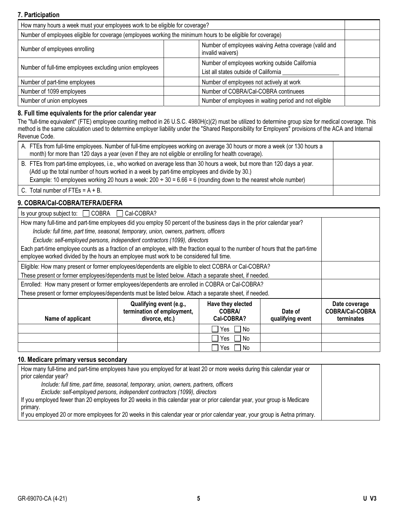#### 7. Participation

| How many hours a week must your employees work to be eligible for coverage?                                 |                                                                                         |  |  |  |
|-------------------------------------------------------------------------------------------------------------|-----------------------------------------------------------------------------------------|--|--|--|
| Number of employees eligible for coverage (employees working the minimum hours to be eligible for coverage) |                                                                                         |  |  |  |
| Number of employees waiving Aetna coverage (valid and<br>Number of employees enrolling<br>invalid waivers)  |                                                                                         |  |  |  |
| Number of full-time employees excluding union employees                                                     | Number of employees working outside California<br>List all states outside of California |  |  |  |
| Number of part-time employees                                                                               | Number of employees not actively at work                                                |  |  |  |
| Number of COBRA/Cal-COBRA continuees<br>Number of 1099 employees                                            |                                                                                         |  |  |  |
| Number of union employees                                                                                   | Number of employees in waiting period and not eligible                                  |  |  |  |

#### 8. Full time equivalents for the prior calendar year

The "full-time equivalent" (FTE) employee counting method in 26 U.S.C. 4980H(c)(2) must be utilized to determine group size for medical coverage. This method is the same calculation used to determine employer liability under the "Shared Responsibility for Employers" provisions of the ACA and Internal Revenue Code.

| A. FTEs from full-time employees. Number of full-time employees working on average 30 hours or more a week (or 130 hours a<br>month) for more than 120 days a year (even if they are not eligible or enrolling for health coverage).                                                                                                           |  |
|------------------------------------------------------------------------------------------------------------------------------------------------------------------------------------------------------------------------------------------------------------------------------------------------------------------------------------------------|--|
| B. FTEs from part-time employees, i.e., who worked on average less than 30 hours a week, but more than 120 days a year.<br>(Add up the total number of hours worked in a week by part-time employees and divide by 30.)<br>Example: 10 employees working 20 hours a week: $200 \div 30 = 6.66 = 6$ (rounding down to the nearest whole number) |  |
| C. Total number of FTEs = $A + B$ .                                                                                                                                                                                                                                                                                                            |  |

#### 9. COBRA/Cal-COBRA/TEFRA/DEFRA

| Is your group subject to: $\Box$ COBRA                                                                                                                                                                                   | Cal-COBRA?                                            |            |  |  |
|--------------------------------------------------------------------------------------------------------------------------------------------------------------------------------------------------------------------------|-------------------------------------------------------|------------|--|--|
| How many full-time and part-time employees did you employ 50 percent of the business days in the prior calendar year?                                                                                                    |                                                       |            |  |  |
| Include: full time, part time, seasonal, temporary, union, owners, partners, officers                                                                                                                                    |                                                       |            |  |  |
| Exclude: self-employed persons, independent contractors (1099), directors                                                                                                                                                |                                                       |            |  |  |
| Each part-time employee counts as a fraction of an employee, with the fraction equal to the number of hours that the part-time<br>employee worked divided by the hours an employee must work to be considered full time. |                                                       |            |  |  |
| Eligible: How many present or former employees/dependents are eligible to elect COBRA or Cal-COBRA?                                                                                                                      |                                                       |            |  |  |
| These present or former employees/dependents must be listed below. Attach a separate sheet, if needed.                                                                                                                   |                                                       |            |  |  |
| Enrolled: How many present or former employees/dependents are enrolled in COBRA or Cal-COBRA?                                                                                                                            |                                                       |            |  |  |
| These present or former employees/dependents must be listed below. Attach a separate sheet, if needed.                                                                                                                   |                                                       |            |  |  |
| Name of applicant                                                                                                                                                                                                        | Date coverage<br><b>COBRA/Cal-COBRA</b><br>terminates |            |  |  |
|                                                                                                                                                                                                                          |                                                       |            |  |  |
|                                                                                                                                                                                                                          |                                                       | No<br>Yes  |  |  |
|                                                                                                                                                                                                                          |                                                       | No.<br>Yes |  |  |

#### 10. Medicare primary versus secondary

| How many full-time and part-time employees have you employed for at least 20 or more weeks during this calendar year or      |  |
|------------------------------------------------------------------------------------------------------------------------------|--|
| prior calendar year?                                                                                                         |  |
| Include: full time, part time, seasonal, temporary, union, owners, partners, officers                                        |  |
| Exclude: self-employed persons, independent contractors (1099), directors                                                    |  |
| If you employed fewer than 20 employees for 20 weeks in this calendar year or prior calendar year, your group is Medicare    |  |
| primary.                                                                                                                     |  |
| If you employed 20 or more employees for 20 weeks in this calendar year or prior calendar year, your group is Aetna primary. |  |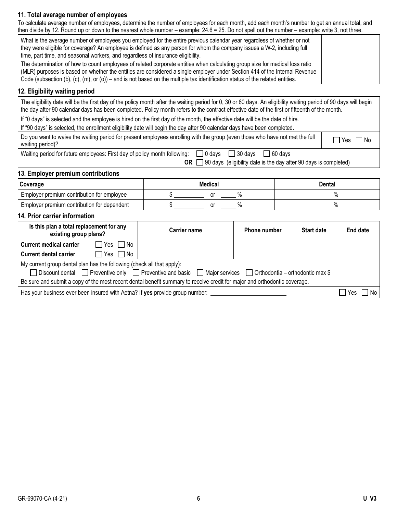#### 11. Total average number of employees

To calculate average number of employees, determine the number of employees for each month, add each month's number to get an annual total, and then divide by 12. Round up or down to the nearest whole number – example: 24.6 = 25. Do not spell out the number – example: write 3, not three.

| What is the average number of employees you employed for the entire previous calendar year regardless of whether or not<br>they were eligible for coverage? An employee is defined as any person for whom the company issues a W-2, including full<br>time, part time, and seasonal workers, and regardless of insurance eligibility.                                                       |  |
|---------------------------------------------------------------------------------------------------------------------------------------------------------------------------------------------------------------------------------------------------------------------------------------------------------------------------------------------------------------------------------------------|--|
| The determination of how to count employees of related corporate entities when calculating group size for medical loss ratio<br>(MLR) purposes is based on whether the entities are considered a single employer under Section 414 of the Internal Revenue<br>Code (subsection (b), (c), (m), or (o)) – and is not based on the multiple tax identification status of the related entities. |  |

#### 12. Eligibility waiting period

 The eligibility date will be the first day of the policy month after the waiting period for 0, 30 or 60 days. An eligibility waiting period of 90 days will begin the day after 90 calendar days has been completed. Policy month refers to the contract effective date of the first or fifteenth of the month.

If "0 days" is selected and the employee is hired on the first day of the month, the effective date will be the date of hire.

If "90 days" is selected, the enrollment eligibility date will begin the day after 90 calendar days have been completed.

| Do you want to waive the waiting period for present employees enrolling with the group (even those who have not met the full  <br>waiting period)? |  |  |  | $\neg$ Yes.<br>  No |
|----------------------------------------------------------------------------------------------------------------------------------------------------|--|--|--|---------------------|
| .                                                                                                                                                  |  |  |  |                     |

Waiting period for future employees: First day of policy month following:  $\Box$  0 days  $\Box$  30 days  $\Box$  60 days

OR  $\Box$  90 days (eligibility date is the day after 90 days is completed)

#### 13. Employer premium contributions

| <b>Coverage</b>                             | Medical |  |  | Dental |
|---------------------------------------------|---------|--|--|--------|
| Employer premium contribution for employee  |         |  |  |        |
| Employer premium contribution for dependent |         |  |  | 70     |

#### 14. Prior carrier information

| Is this plan a total replacement for any<br>existing group plans?                                                         | <b>Carrier name</b> | <b>Phone number</b> | <b>Start date</b> | End date |     |  |
|---------------------------------------------------------------------------------------------------------------------------|---------------------|---------------------|-------------------|----------|-----|--|
| $\Box$ Yes $\Box$ No<br><b>Current medical carrier</b>                                                                    |                     |                     |                   |          |     |  |
| $\Box$ Yes $\Box$ No<br><b>Current dental carrier</b>                                                                     |                     |                     |                   |          |     |  |
| My current group dental plan has the following (check all that apply):                                                    |                     |                     |                   |          |     |  |
| □ Discount dental □ Preventive only □ Preventive and basic □ Major services □ Orthodontia – orthodontic max \$            |                     |                     |                   |          |     |  |
| Be sure and submit a copy of the most recent dental benefit summary to receive credit for major and orthodontic coverage. |                     |                     |                   |          |     |  |
| Has your business ever been insured with Aetna? If yes provide group number:                                              |                     |                     |                   | Yes      | No. |  |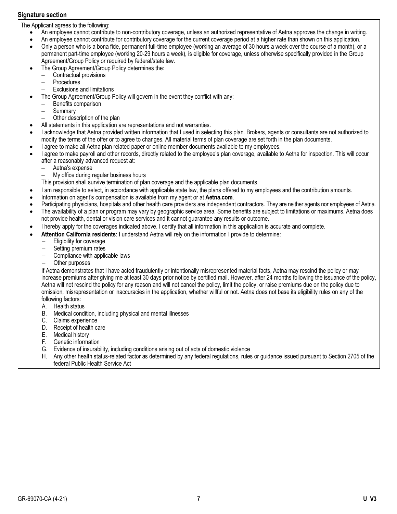#### Signature section

 $\overline{a}$ 

The Applicant agrees to the following:<br>An employee cannot contribute

- An employee cannot contribute to non-contributory coverage, unless an authorized representative of Aetna approves the change in writing.
- -<br>-An employee cannot contribute for contributory coverage for the current coverage period at a higher rate than shown on this application.
- $\bullet$  Only a person who is a bona fide, permanent full-time employee (working an average of 30 hours a week over the course of a month), or a permanent part-time employee (working 20-29 hours a week), is eligible for coverage, unless otherwise specifically provided in the Group Agreement/Group Policy or required by federal/state law.
- $\overline{a}$ • The Group Agreement/Group Policy determines the:<br>Contractual provisions
	- Contractual provisions
	- Procedures
	- Exclusions and limitations
- The Group Agreement/Group Policy will govern in the event they conflict with any:<br>Renefits comparison
- Benefits comparison
	- $\equiv$ **Summary**
	- Other description of the plan
- $\overline{a}$ All statements in this application are representations and not warranties.
- -<br>- I acknowledge that Aetna provided written information that I used in selecting this plan. Brokers, agents or consultants are not authorized to modify the terms of the offer or to agree to changes. All material terms of plan coverage are set forth in the plan documents.  $\overline{a}$
- I agree to make all Aetna plan related paper or online member documents available to my employees.
- -<br>- I agree to make payroll and other records, directly related to the employee's plan coverage, available to Aetna for inspection. This will occur after a reasonably advanced request at:
	- $\overline{a}$ Aetna's expense
	- My office during regular business hours
	- This provision shall survive termination of plan coverage and the applicable plan documents.
- $\overline{a}$ I am responsible to select, in accordance with applicable state law, the plans offered to my employees and the contribution amounts.
- $\overline{a}$ Information on agent's compensation is available from my agent or at [Aetna.com](http://Aetna.com).
- -<br>-Participating physicians, hospitals and other health care providers are independent contractors. They are neither agents nor employees of Aetna.
- $\bullet$  The availability of a plan or program may vary by geographic service area. Some benefits are subject to limitations or maximums. Aetna does not provide health, dental or vision care services and it cannot guarantee any results or outcome.
- $\overline{a}$ I hereby apply for the coverages indicated above. I certify that all information in this application is accurate and complete.
- $\overline{\phantom{a}}$ • Attention California residents: I understand Aetna will rely on the information I provide to determine:<br>Fligibility for coverage
	- Eligibility for coverage
	- $\equiv$ Setting premium rates
	- Compliance with applicable laws
	- Other purposes

If Aetna demonstrates that I have acted fraudulently or intentionally misrepresented material facts, Aetna may rescind the policy or may increase premiums after giving me at least 30 days prior notice by certified mail. However, after 24 months following the issuance of the policy, Aetna will not rescind the policy for any reason and will not cancel the policy, limit the policy, or raise premiums due on the policy due to omission, misrepresentation or inaccuracies in the application, whether willful or not. Aetna does not base its eligibility rules on any of the following factors:

- A. Health status
- B. Medical condition, including physical and mental illnesses
- C. Claims experience
- D. Receipt of health care
- E. Medical history<br>F. Genetic informa
- Genetic information
- G. Evidence of insurability, including conditions arising out of acts of domestic violence
- H. Any other health status-related factor as determined by any federal regulations, rules or guidance issued pursuant to Section 2705 of the federal Public Health Service Act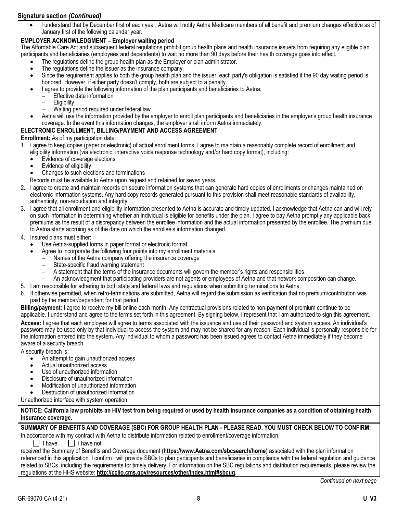## Signature section (Continued)

 $\overline{\phantom{a}}$  I understand that by December first of each year, Aetna will notify Aetna Medicare members of all benefit and premium changes effective as of January first of the following calendar year.

#### EMPLOYER ACKNOWLEDGMENT – Employer waiting period

The Affordable Care Act and subsequent federal regulations prohibit group health plans and health insurance issuers from requiring any eligible plan participants and beneficiaries (employees and dependents) to wait no more than 90 days before their health coverage goes into effect.<br>The requistions define the group health plan as the Employer or plan administrator

- The regulations define the group health plan as the Employer or plan administrator. -<br>-
- The regulations define the issuer as the insurance company.
- -<br>- Since the requirement applies to both the group health plan and the issuer, each party's obligation is satisfied if the 90 day waiting period is honored. However, if either party doesn't comply, both are subject to a penalty.
- $\overline{a}$ I agree to provide the following information of the plan participants and beneficiaries to Aetna:<br>Effective date information
	- Effective date information
		- $\overline{a}$ **Eligibility**
		- Ξ Waiting period required under federal law
- $\overline{a}$  Aetna will use the information provided by the employer to enroll plan participants and beneficiaries in the employer's group health insurance coverage. In the event this information changes, the employer shall inform Aetna immediately.

#### ELECTRONIC ENROLLMENT, BILLING/PAYMENT AND ACCESS AGREEMENT

Enrollment: As of my participation date:

- 1. I agree to keep copies (paper or electronic) of actual enrollment forms. I agree to maintain a reasonably complete record of enrollment and eligibility information (via electronic, interactive voice response technology and/or hard copy format), including:<br>• Evidence of coverage elections
	- Evidence of coverage elections
	- -<br>- Evidence of eligibility -<br>-
	- Changes to such elections and terminations
	- Records must be available to Aetna upon request and retained for seven years.
- 2. I agree to create and maintain records on secure information systems that can generate hard copies of enrollments or changes maintained on electronic information systems. Any hard copy records generated pursuant to this provision shall meet reasonable standards of availability, authenticity, non-repudiation and integrity.
- 3. I agree that all enrollment and eligibility information presented to Aetna is accurate and timely updated. I acknowledge that Aetna can and will rely on such information in determining whether an individual is eligible for benefits under the plan. I agree to pay Aetna promptly any applicable back premiums as the result of a discrepancy between the enrollee information and the actual information presented by the enrollee. The premium due to Aetna starts accruing as of the date on which the enrollee's information changed.
- 4. Insured plans must either:

-<br>•

- Use Aetna-supplied forms in paper format or electronic format
- Agree to incorporate the following four points into my enrollment materials  $\sim$  Names of the Aetro company offering the insurance coverage
	- Names of the Aetna company offering the insurance coverage
	- State-specific fraud warning statement
	- A statement that the terms of the insurance documents will govern the member's rights and responsibilities
	- An acknowledgment that participating providers are not agents or employees of Aetna and that network composition can change.
- 5. I am responsible for adhering to both state and federal laws and regulations when submitting terminations to Aetna.
- 6. If otherwise permitted, when retro-terminations are submitted, Aetna will regard the submission as verification that no premium/contribution was paid by the member/dependent for that period.

Billing/payment: I agree to receive my bill online each month. Any contractual provisions related to non-payment of premium continue to be applicable. I understand and agree to the terms set forth in this agreement. By signing below, I represent that I am authorized to sign this agreement.

Access: I agree that each employee will agree to terms associated with the issuance and use of their password and system access. An individual's password may be used only by that individual to access the system and may not be shared for any reason. Each individual is personally responsible for the information entered into the system. Any individual to whom a password has been issued agrees to contact Aetna immediately if they become aware of a security breach.

A security breach is:<br>An attempt t

- An attempt to gain unauthorized access
- -<br>- Actual unauthorized access -<br>-
- Use of unauthorized information -<br>-
- Disclosure of unauthorized information -<br>-
- Modification of unauthorized information -<br>-
- Destruction of unauthorized information

Unauthorized interface with system operation.

NOTICE: California law prohibits an HIV test from being required or used by health insurance companies as a condition of obtaining health insurance coverage.

SUMMARY OF BENEFITS AND COVERAGE (SBC) FOR GROUP HEALTH PLAN - PLEASE READ. YOU MUST CHECK BELOW TO CONFIRM: In accordance with my contract with Aetna to distribute information related to enrollment/coverage information,

 $\Box$  I have  $\Box$  I have not

received the Summary of Benefits and Coverage document (<https://www.Aetna.com/sbcsearch/home>) associated with the plan information referenced in this application. I confirm I will provide SBCs to plan participants and beneficiaries in compliance with the federal regulation and guidance related to SBCs, including the requirements for timely delivery. For information on the SBC regulations and distribution requirements, please review the regulations at the HHS website:<http://cciio.cms.gov/resources/other/index.html#sbcug>.